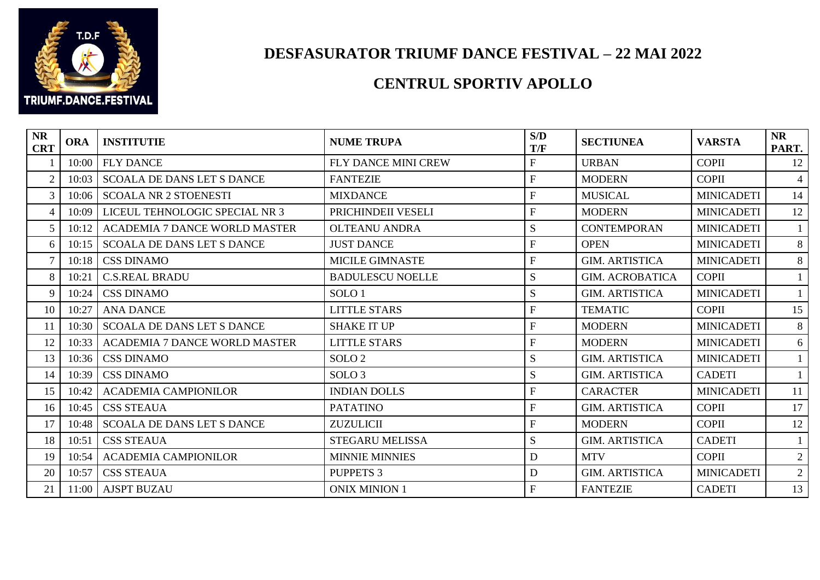

## **DESFASURATOR TRIUMF DANCE FESTIVAL – 22 MAI 2022**

## **CENTRUL SPORTIV APOLLO**

| <b>NR</b><br><b>CRT</b> | <b>ORA</b> | <b>INSTITUTIE</b>                    | <b>NUME TRUPA</b>       | S/D<br>T/F     | <b>SECTIUNEA</b>       | <b>VARSTA</b>     | <b>NR</b><br>PART. |
|-------------------------|------------|--------------------------------------|-------------------------|----------------|------------------------|-------------------|--------------------|
|                         | 10:00      | <b>FLY DANCE</b>                     | FLY DANCE MINI CREW     | $\mathbf{F}$   | <b>URBAN</b>           | <b>COPII</b>      | 12                 |
| $\overline{2}$          | 10:03      | <b>SCOALA DE DANS LET S DANCE</b>    | <b>FANTEZIE</b>         | $\overline{F}$ | <b>MODERN</b>          | <b>COPII</b>      | 4                  |
| 3                       | 10:06      | <b>SCOALA NR 2 STOENESTI</b>         | <b>MIXDANCE</b>         | $\mathbf{F}$   | <b>MUSICAL</b>         | <b>MINICADETI</b> | 14                 |
| $\overline{4}$          | 10:09      | LICEUL TEHNOLOGIC SPECIAL NR 3       | PRICHINDEII VESELI      | $\mathbf{F}$   | <b>MODERN</b>          | <b>MINICADETI</b> | 12                 |
| 5                       | 10:12      | <b>ACADEMIA 7 DANCE WORLD MASTER</b> | <b>OLTEANU ANDRA</b>    | S              | <b>CONTEMPORAN</b>     | <b>MINICADETI</b> |                    |
| 6                       | 10:15      | SCOALA DE DANS LET S DANCE           | <b>JUST DANCE</b>       | $\overline{F}$ | <b>OPEN</b>            | <b>MINICADETI</b> | 8                  |
| $\overline{7}$          | 10:18      | <b>CSS DINAMO</b>                    | <b>MICILE GIMNASTE</b>  | $\mathbf{F}$   | <b>GIM. ARTISTICA</b>  | <b>MINICADETI</b> | 8                  |
| 8                       | 10:21      | <b>C.S.REAL BRADU</b>                | <b>BADULESCU NOELLE</b> | S              | <b>GIM. ACROBATICA</b> | <b>COPII</b>      |                    |
| 9                       | 10:24      | <b>CSS DINAMO</b>                    | SOLO <sub>1</sub>       | S              | <b>GIM. ARTISTICA</b>  | <b>MINICADETI</b> | $\mathbf{1}$       |
| 10                      | 10:27      | <b>ANA DANCE</b>                     | <b>LITTLE STARS</b>     | $\mathbf{F}$   | <b>TEMATIC</b>         | <b>COPII</b>      | 15                 |
| 11                      | 10:30      | <b>SCOALA DE DANS LET S DANCE</b>    | <b>SHAKE IT UP</b>      | $\overline{F}$ | <b>MODERN</b>          | <b>MINICADETI</b> | 8                  |
| 12                      | 10:33      | <b>ACADEMIA 7 DANCE WORLD MASTER</b> | <b>LITTLE STARS</b>     | $\overline{F}$ | <b>MODERN</b>          | <b>MINICADETI</b> | 6                  |
| 13                      | 10:36      | <b>CSS DINAMO</b>                    | SOLO <sub>2</sub>       | S              | <b>GIM. ARTISTICA</b>  | <b>MINICADETI</b> |                    |
| 14                      | 10:39      | <b>CSS DINAMO</b>                    | SOLO <sub>3</sub>       | S              | <b>GIM. ARTISTICA</b>  | <b>CADETI</b>     |                    |
| 15                      | 10:42      | <b>ACADEMIA CAMPIONILOR</b>          | <b>INDIAN DOLLS</b>     | $\overline{F}$ | <b>CARACTER</b>        | <b>MINICADETI</b> | 11                 |
| 16                      | 10:45      | <b>CSS STEAUA</b>                    | <b>PATATINO</b>         | $\mathbf{F}$   | <b>GIM. ARTISTICA</b>  | <b>COPII</b>      | 17                 |
| 17                      | 10:48      | <b>SCOALA DE DANS LET S DANCE</b>    | <b>ZUZULICII</b>        | $\mathbf{F}$   | <b>MODERN</b>          | <b>COPII</b>      | 12                 |
| 18                      | 10:51      | <b>CSS STEAUA</b>                    | <b>STEGARU MELISSA</b>  | S              | <b>GIM. ARTISTICA</b>  | <b>CADETI</b>     |                    |
| 19                      | 10:54      | <b>ACADEMIA CAMPIONILOR</b>          | <b>MINNIE MINNIES</b>   | D              | <b>MTV</b>             | <b>COPII</b>      | $\overline{2}$     |
| 20                      | 10:57      | <b>CSS STEAUA</b>                    | <b>PUPPETS 3</b>        | D              | <b>GIM. ARTISTICA</b>  | <b>MINICADETI</b> | $\overline{2}$     |
| 21                      | 11:00      | <b>AJSPT BUZAU</b>                   | <b>ONIX MINION 1</b>    | $\overline{F}$ | <b>FANTEZIE</b>        | <b>CADETI</b>     | 13                 |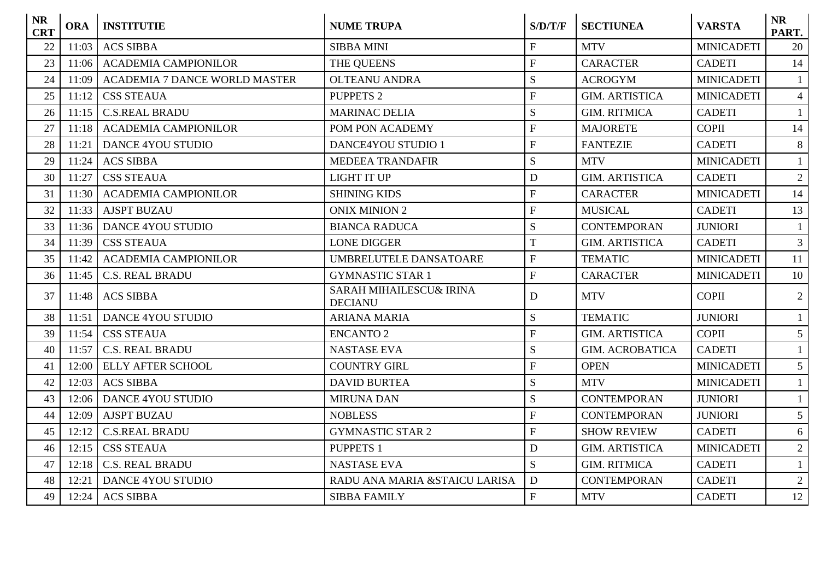| <b>NR</b><br><b>CRT</b> | <b>ORA</b> | <b>INSTITUTIE</b>                    | <b>NUME TRUPA</b>                                    | S/D/T/F                   | <b>SECTIUNEA</b>       | <b>VARSTA</b>     | <b>NR</b><br>PART. |
|-------------------------|------------|--------------------------------------|------------------------------------------------------|---------------------------|------------------------|-------------------|--------------------|
| 22                      | 11:03      | <b>ACS SIBBA</b>                     | <b>SIBBA MINI</b>                                    | ${\bf F}$                 | <b>MTV</b>             | <b>MINICADETI</b> | 20                 |
| 23                      | 11:06      | <b>ACADEMIA CAMPIONILOR</b>          | THE QUEENS                                           | $\mathbf{F}$              | <b>CARACTER</b>        | <b>CADETI</b>     | 14                 |
| 24                      | 11:09      | <b>ACADEMIA 7 DANCE WORLD MASTER</b> | <b>OLTEANU ANDRA</b>                                 | S                         | <b>ACROGYM</b>         | <b>MINICADETI</b> |                    |
| 25                      | 11:12      | <b>CSS STEAUA</b>                    | <b>PUPPETS 2</b>                                     | $\overline{F}$            | <b>GIM. ARTISTICA</b>  | <b>MINICADETI</b> | $\overline{4}$     |
| 26                      | 11:15      | <b>C.S.REAL BRADU</b>                | <b>MARINAC DELIA</b>                                 | S                         | <b>GIM. RITMICA</b>    | <b>CADETI</b>     |                    |
| 27                      | 11:18      | <b>ACADEMIA CAMPIONILOR</b>          | POM PON ACADEMY                                      | $\overline{F}$            | <b>MAJORETE</b>        | <b>COPII</b>      | 14                 |
| 28                      | 11:21      | <b>DANCE 4YOU STUDIO</b>             | <b>DANCE4YOU STUDIO 1</b>                            | $\overline{F}$            | <b>FANTEZIE</b>        | <b>CADETI</b>     | 8                  |
| 29                      | 11:24      | <b>ACS SIBBA</b>                     | <b>MEDEEA TRANDAFIR</b>                              | S                         | <b>MTV</b>             | <b>MINICADETI</b> |                    |
| 30                      | 11:27      | <b>CSS STEAUA</b>                    | <b>LIGHT IT UP</b>                                   | $\mathbf D$               | <b>GIM. ARTISTICA</b>  | <b>CADETI</b>     | 2                  |
| 31                      | 11:30      | <b>ACADEMIA CAMPIONILOR</b>          | <b>SHINING KIDS</b>                                  | $\boldsymbol{\mathrm{F}}$ | <b>CARACTER</b>        | <b>MINICADETI</b> | 14                 |
| 32                      | 11:33      | <b>AJSPT BUZAU</b>                   | <b>ONIX MINION 2</b>                                 | ${\bf F}$                 | <b>MUSICAL</b>         | <b>CADETI</b>     | 13                 |
| 33                      | 11:36      | <b>DANCE 4YOU STUDIO</b>             | <b>BIANCA RADUCA</b>                                 | S                         | <b>CONTEMPORAN</b>     | <b>JUNIORI</b>    | $\mathbf{1}$       |
| 34                      | 11:39      | <b>CSS STEAUA</b>                    | <b>LONE DIGGER</b>                                   | $\overline{T}$            | <b>GIM. ARTISTICA</b>  | <b>CADETI</b>     | 3                  |
| 35                      | 11:42      | <b>ACADEMIA CAMPIONILOR</b>          | UMBRELUTELE DANSATOARE                               | ${\bf F}$                 | <b>TEMATIC</b>         | <b>MINICADETI</b> | 11                 |
| 36                      | 11:45      | <b>C.S. REAL BRADU</b>               | <b>GYMNASTIC STAR 1</b>                              | ${\bf F}$                 | <b>CARACTER</b>        | <b>MINICADETI</b> | 10                 |
| 37                      | 11:48      | <b>ACS SIBBA</b>                     | <b>SARAH MIHAILESCU&amp; IRINA</b><br><b>DECIANU</b> | D                         | <b>MTV</b>             | <b>COPII</b>      | $\overline{2}$     |
| 38                      | 11:51      | <b>DANCE 4YOU STUDIO</b>             | <b>ARIANA MARIA</b>                                  | S                         | <b>TEMATIC</b>         | <b>JUNIORI</b>    |                    |
| 39                      | 11:54      | <b>CSS STEAUA</b>                    | <b>ENCANTO 2</b>                                     | $\overline{F}$            | <b>GIM. ARTISTICA</b>  | <b>COPII</b>      | 5 <sup>5</sup>     |
| 40                      | 11:57      | <b>C.S. REAL BRADU</b>               | <b>NASTASE EVA</b>                                   | S                         | <b>GIM. ACROBATICA</b> | <b>CADETI</b>     |                    |
| 41                      | 12:00      | <b>ELLY AFTER SCHOOL</b>             | <b>COUNTRY GIRL</b>                                  | $\mathbf{F}$              | <b>OPEN</b>            | <b>MINICADETI</b> | $5^{\circ}$        |
| 42                      | 12:03      | <b>ACS SIBBA</b>                     | <b>DAVID BURTEA</b>                                  | S                         | <b>MTV</b>             | <b>MINICADETI</b> |                    |
| 43                      | 12:06      | <b>DANCE 4YOU STUDIO</b>             | <b>MIRUNA DAN</b>                                    | S                         | <b>CONTEMPORAN</b>     | <b>JUNIORI</b>    | $\mathbf{1}$       |
| 44                      | 12:09      | <b>AJSPT BUZAU</b>                   | <b>NOBLESS</b>                                       | $\overline{F}$            | <b>CONTEMPORAN</b>     | <b>JUNIORI</b>    | 5 <sup>5</sup>     |
| 45                      | 12:12      | <b>C.S.REAL BRADU</b>                | <b>GYMNASTIC STAR 2</b>                              | ${\bf F}$                 | <b>SHOW REVIEW</b>     | <b>CADETI</b>     | 6                  |
| 46                      | 12:15      | <b>CSS STEAUA</b>                    | <b>PUPPETS 1</b>                                     | $\mathbf D$               | <b>GIM. ARTISTICA</b>  | <b>MINICADETI</b> | $\overline{2}$     |
| 47                      | 12:18      | <b>C.S. REAL BRADU</b>               | <b>NASTASE EVA</b>                                   | S                         | <b>GIM. RITMICA</b>    | <b>CADETI</b>     | 1                  |
| 48                      | 12:21      | <b>DANCE 4YOU STUDIO</b>             | RADU ANA MARIA & STAICU LARISA                       | D                         | <b>CONTEMPORAN</b>     | <b>CADETI</b>     | 2                  |
| 49                      | 12:24      | <b>ACS SIBBA</b>                     | <b>SIBBA FAMILY</b>                                  | ${\bf F}$                 | <b>MTV</b>             | <b>CADETI</b>     | 12                 |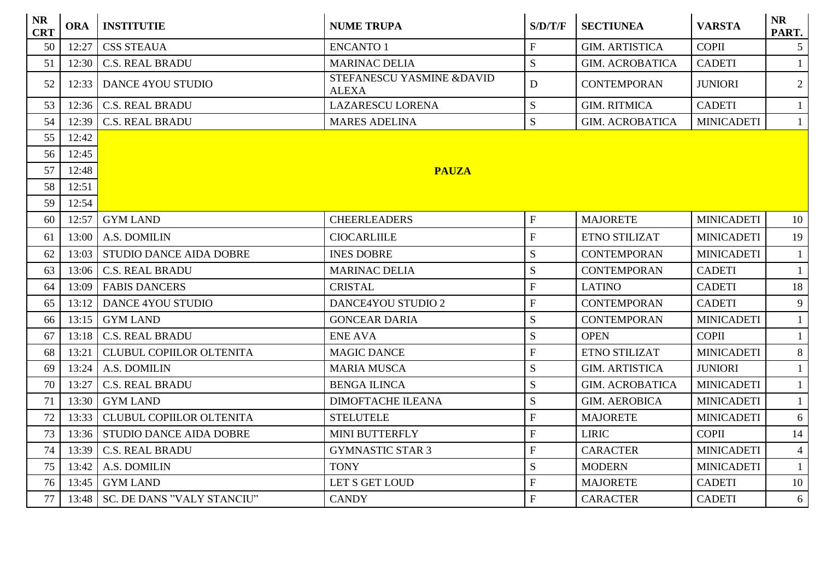| <b>NR</b><br><b>CRT</b> | <b>ORA</b> | <b>INSTITUTIE</b>                  | <b>NUME TRUPA</b>                         | S/D/T/F                 | <b>SECTIUNEA</b>       | <b>VARSTA</b>     | <b>NR</b><br>PART. |
|-------------------------|------------|------------------------------------|-------------------------------------------|-------------------------|------------------------|-------------------|--------------------|
| 50                      | 12:27      | <b>CSS STEAUA</b>                  | ENCANTO 1                                 | $\overline{F}$          | <b>GIM. ARTISTICA</b>  | <b>COPII</b>      | 5 <sup>1</sup>     |
| 51                      | 12:30      | <b>C.S. REAL BRADU</b>             | <b>MARINAC DELIA</b>                      | S                       | <b>GIM. ACROBATICA</b> | <b>CADETI</b>     | $\mathbf{1}$       |
| 52                      | 12:33      | <b>DANCE 4YOU STUDIO</b>           | STEFANESCU YASMINE &DAVID<br><b>ALEXA</b> | D                       | <b>CONTEMPORAN</b>     | <b>JUNIORI</b>    | $\overline{2}$     |
| 53                      | 12:36      | <b>C.S. REAL BRADU</b>             | <b>LAZARESCU LORENA</b>                   | S                       | <b>GIM. RITMICA</b>    | <b>CADETI</b>     | $\mathbf{1}$       |
| 54                      | 12:39      | <b>C.S. REAL BRADU</b>             | <b>MARES ADELINA</b>                      | S                       | <b>GIM. ACROBATICA</b> | <b>MINICADETI</b> | $\mathbf{1}$       |
| 55                      | 12:42      |                                    |                                           |                         |                        |                   |                    |
| 56                      | 12:45      |                                    |                                           |                         |                        |                   |                    |
| 57                      | 12:48      |                                    | <b>PAUZA</b>                              |                         |                        |                   |                    |
| 58                      | 12:51      |                                    |                                           |                         |                        |                   |                    |
| 59                      | 12:54      |                                    |                                           |                         |                        |                   |                    |
| 60                      | 12:57      | <b>GYM LAND</b>                    | <b>CHEERLEADERS</b>                       | ${\bf F}$               | <b>MAJORETE</b>        | <b>MINICADETI</b> | 10                 |
| 61                      | 13:00      | A.S. DOMILIN                       | <b>CIOCARLIILE</b>                        | $\overline{F}$          | ETNO STILIZAT          | <b>MINICADETI</b> | 19                 |
| 62                      | 13:03      | <b>STUDIO DANCE AIDA DOBRE</b>     | <b>INES DOBRE</b>                         | S                       | <b>CONTEMPORAN</b>     | <b>MINICADETI</b> | $\mathbf{1}$       |
| 63                      | 13:06      | <b>C.S. REAL BRADU</b>             | <b>MARINAC DELIA</b>                      | S                       | <b>CONTEMPORAN</b>     | <b>CADETI</b>     | $\mathbf{1}$       |
| 64                      | 13:09      | <b>FABIS DANCERS</b>               | <b>CRISTAL</b>                            | ${\bf F}$               | <b>LATINO</b>          | <b>CADETI</b>     | 18                 |
| 65                      | 13:12      | <b>DANCE 4YOU STUDIO</b>           | <b>DANCE4YOU STUDIO 2</b>                 | $\overline{F}$          | <b>CONTEMPORAN</b>     | <b>CADETI</b>     | 9                  |
| 66                      | 13:15      | <b>GYM LAND</b>                    | <b>GONCEAR DARIA</b>                      | ${\bf S}$               | <b>CONTEMPORAN</b>     | <b>MINICADETI</b> | $\mathbf{1}$       |
| 67                      | 13:18      | <b>C.S. REAL BRADU</b>             | <b>ENE AVA</b>                            | S                       | <b>OPEN</b>            | <b>COPII</b>      | $\mathbf{1}$       |
| 68                      | 13:21      | <b>CLUBUL COPIILOR OLTENITA</b>    | <b>MAGIC DANCE</b>                        | $\overline{F}$          | ETNO STILIZAT          | <b>MINICADETI</b> | 8                  |
| 69                      | 13:24      | A.S. DOMILIN                       | <b>MARIA MUSCA</b>                        | S                       | <b>GIM. ARTISTICA</b>  | <b>JUNIORI</b>    | $\mathbf{1}$       |
| 70                      | 13:27      | <b>C.S. REAL BRADU</b>             | <b>BENGA ILINCA</b>                       | S                       | <b>GIM. ACROBATICA</b> | <b>MINICADETI</b> | $\mathbf{1}$       |
| 71                      | 13:30      | <b>GYM LAND</b>                    | <b>DIMOFTACHE ILEANA</b>                  | S                       | <b>GIM. AEROBICA</b>   | <b>MINICADETI</b> | $\mathbf{1}$       |
| 72                      | 13:33      | <b>CLUBUL COPIILOR OLTENITA</b>    | <b>STELUTELE</b>                          | $\overline{F}$          | <b>MAJORETE</b>        | <b>MINICADETI</b> | 6                  |
| 73                      | 13:36      | <b>STUDIO DANCE AIDA DOBRE</b>     | MINI BUTTERFLY                            | ${\bf F}$               | <b>LIRIC</b>           | <b>COPII</b>      | 14                 |
| 74                      | 13:39      | <b>C.S. REAL BRADU</b>             | <b>GYMNASTIC STAR 3</b>                   | $\overline{F}$          | <b>CARACTER</b>        | <b>MINICADETI</b> | $\overline{4}$     |
| 75                      | 13:42      | A.S. DOMILIN                       | <b>TONY</b>                               | S                       | <b>MODERN</b>          | <b>MINICADETI</b> | $\mathbf{1}$       |
| 76                      | 13:45      | <b>GYM LAND</b>                    | LET S GET LOUD                            | $\overline{\mathrm{F}}$ | <b>MAJORETE</b>        | <b>CADETI</b>     | 10                 |
| 77                      |            | 13:48   SC. DE DANS "VALY STANCIU" | <b>CANDY</b>                              | ${\bf F}$               | <b>CARACTER</b>        | <b>CADETI</b>     | 6                  |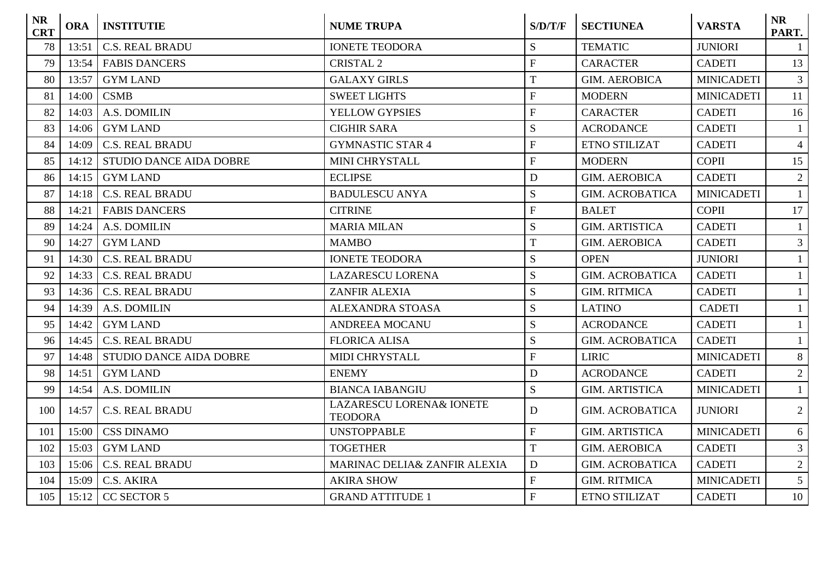| <b>NR</b><br><b>CRT</b> | <b>ORA</b> | <b>INSTITUTIE</b>              | <b>NUME TRUPA</b>                          | S/D/T/F        | <b>SECTIUNEA</b>       | <b>VARSTA</b>     | <b>NR</b><br>PART. |
|-------------------------|------------|--------------------------------|--------------------------------------------|----------------|------------------------|-------------------|--------------------|
| 78                      | 13:51      | <b>C.S. REAL BRADU</b>         | <b>IONETE TEODORA</b>                      | S              | <b>TEMATIC</b>         | <b>JUNIORI</b>    | $\mathbf{1}$       |
| 79                      | 13:54      | <b>FABIS DANCERS</b>           | <b>CRISTAL 2</b>                           | $\overline{F}$ | <b>CARACTER</b>        | <b>CADETI</b>     | 13                 |
| 80                      | 13:57      | <b>GYM LAND</b>                | <b>GALAXY GIRLS</b>                        | T              | <b>GIM. AEROBICA</b>   | <b>MINICADETI</b> | 3 <sup>7</sup>     |
| 81                      | 14:00      | <b>CSMB</b>                    | <b>SWEET LIGHTS</b>                        | $\overline{F}$ | <b>MODERN</b>          | <b>MINICADETI</b> | 11                 |
| 82                      | 14:03      | A.S. DOMILIN                   | YELLOW GYPSIES                             | $\overline{F}$ | <b>CARACTER</b>        | <b>CADETI</b>     | 16                 |
| 83                      | 14:06      | <b>GYM LAND</b>                | <b>CIGHIR SARA</b>                         | S              | <b>ACRODANCE</b>       | <b>CADETI</b>     | $\mathbf{1}$       |
| 84                      | 14:09      | <b>C.S. REAL BRADU</b>         | <b>GYMNASTIC STAR 4</b>                    | ${\bf F}$      | <b>ETNO STILIZAT</b>   | <b>CADETI</b>     | $\overline{4}$     |
| 85                      | 14:12      | <b>STUDIO DANCE AIDA DOBRE</b> | <b>MINI CHRYSTALL</b>                      | ${\bf F}$      | <b>MODERN</b>          | <b>COPII</b>      | 15                 |
| 86                      | 14:15      | <b>GYM LAND</b>                | <b>ECLIPSE</b>                             | $\mathbf D$    | <b>GIM. AEROBICA</b>   | <b>CADETI</b>     | $\overline{2}$     |
| 87                      | 14:18      | <b>C.S. REAL BRADU</b>         | <b>BADULESCU ANYA</b>                      | S              | <b>GIM. ACROBATICA</b> | <b>MINICADETI</b> | $\mathbf{1}$       |
| 88                      | 14:21      | <b>FABIS DANCERS</b>           | <b>CITRINE</b>                             | ${\bf F}$      | <b>BALET</b>           | <b>COPII</b>      | 17                 |
| 89                      | 14:24      | A.S. DOMILIN                   | <b>MARIA MILAN</b>                         | ${\bf S}$      | <b>GIM. ARTISTICA</b>  | <b>CADETI</b>     | $\mathbf{1}$       |
| 90                      | 14:27      | <b>GYM LAND</b>                | <b>MAMBO</b>                               | T              | <b>GIM. AEROBICA</b>   | <b>CADETI</b>     | 3 <sup>1</sup>     |
| 91                      | 14:30      | <b>C.S. REAL BRADU</b>         | <b>IONETE TEODORA</b>                      | ${\bf S}$      | <b>OPEN</b>            | <b>JUNIORI</b>    | $\mathbf{1}$       |
| 92                      | 14:33      | <b>C.S. REAL BRADU</b>         | <b>LAZARESCU LORENA</b>                    | ${\bf S}$      | <b>GIM. ACROBATICA</b> | <b>CADETI</b>     | $\mathbf{1}$       |
| 93                      | 14:36      | <b>C.S. REAL BRADU</b>         | <b>ZANFIR ALEXIA</b>                       | S              | <b>GIM. RITMICA</b>    | <b>CADETI</b>     | $\mathbf{1}$       |
| 94                      | 14:39      | A.S. DOMILIN                   | <b>ALEXANDRA STOASA</b>                    | S              | <b>LATINO</b>          | <b>CADETI</b>     | $\mathbf{1}$       |
| 95                      | 14:42      | <b>GYM LAND</b>                | <b>ANDREEA MOCANU</b>                      | S              | <b>ACRODANCE</b>       | <b>CADETI</b>     | $\mathbf{1}$       |
| 96                      | 14:45      | <b>C.S. REAL BRADU</b>         | <b>FLORICA ALISA</b>                       | S              | <b>GIM. ACROBATICA</b> | <b>CADETI</b>     | $\mathbf{1}$       |
| 97                      | 14:48      | <b>STUDIO DANCE AIDA DOBRE</b> | <b>MIDI CHRYSTALL</b>                      | ${\bf F}$      | <b>LIRIC</b>           | <b>MINICADETI</b> | 8                  |
| 98                      | 14:51      | <b>GYM LAND</b>                | <b>ENEMY</b>                               | $\mathbf D$    | <b>ACRODANCE</b>       | <b>CADETI</b>     | $\overline{2}$     |
| 99                      | 14:54      | A.S. DOMILIN                   | <b>BIANCA IABANGIU</b>                     | S              | <b>GIM. ARTISTICA</b>  | <b>MINICADETI</b> | $\mathbf{1}$       |
| 100                     | 14:57      | <b>C.S. REAL BRADU</b>         | LAZARESCU LORENA& IONETE<br><b>TEODORA</b> | D              | <b>GIM. ACROBATICA</b> | <b>JUNIORI</b>    | $\overline{2}$     |
| 101                     | 15:00      | <b>CSS DINAMO</b>              | <b>UNSTOPPABLE</b>                         | $\overline{F}$ | <b>GIM. ARTISTICA</b>  | <b>MINICADETI</b> | 6                  |
| 102                     | 15:03      | <b>GYM LAND</b>                | <b>TOGETHER</b>                            | $\overline{T}$ | <b>GIM. AEROBICA</b>   | <b>CADETI</b>     | $\mathfrak{Z}$     |
| 103                     | 15:06      | <b>C.S. REAL BRADU</b>         | MARINAC DELIA& ZANFIR ALEXIA               | $\mathbf D$    | <b>GIM. ACROBATICA</b> | <b>CADETI</b>     | $\overline{2}$     |
| 104                     | 15:09      | C.S. AKIRA                     | <b>AKIRA SHOW</b>                          | ${\bf F}$      | <b>GIM. RITMICA</b>    | <b>MINICADETI</b> | 5 <sup>5</sup>     |
| 105                     | 15:12      | CC SECTOR 5                    | <b>GRAND ATTITUDE 1</b>                    | ${\bf F}$      | <b>ETNO STILIZAT</b>   | <b>CADETI</b>     | 10                 |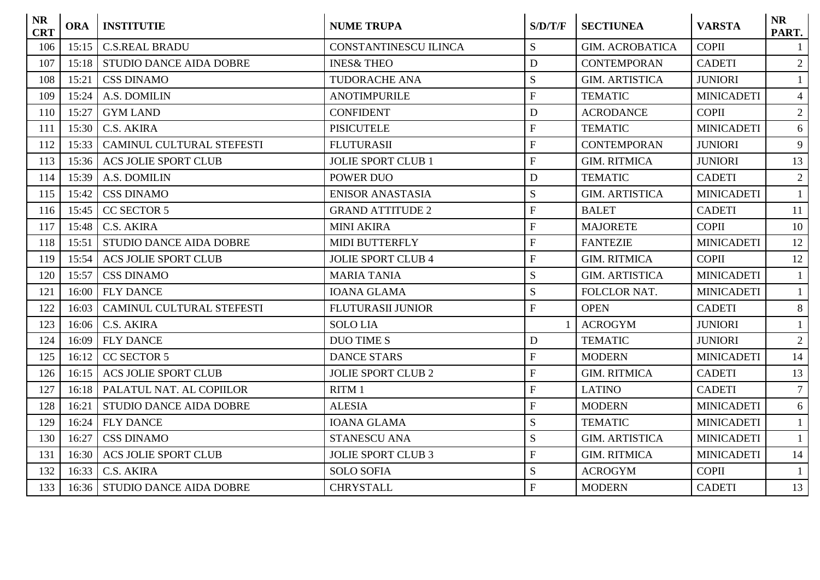| <b>NR</b><br><b>CRT</b> | <b>ORA</b> | <b>INSTITUTIE</b>              | <b>NUME TRUPA</b>            | S/D/T/F                   | <b>SECTIUNEA</b>       | <b>VARSTA</b>     | <b>NR</b><br>PART. |
|-------------------------|------------|--------------------------------|------------------------------|---------------------------|------------------------|-------------------|--------------------|
| 106                     | 15:15      | <b>C.S.REAL BRADU</b>          | <b>CONSTANTINESCU ILINCA</b> | S                         | <b>GIM. ACROBATICA</b> | <b>COPII</b>      |                    |
| 107                     | 15:18      | <b>STUDIO DANCE AIDA DOBRE</b> | <b>INES&amp; THEO</b>        | D                         | <b>CONTEMPORAN</b>     | <b>CADETI</b>     | $\overline{2}$     |
| 108                     | 15:21      | <b>CSS DINAMO</b>              | <b>TUDORACHE ANA</b>         | ${\bf S}$                 | <b>GIM. ARTISTICA</b>  | <b>JUNIORI</b>    | $\mathbf{1}$       |
| 109                     | 15:24      | A.S. DOMILIN                   | <b>ANOTIMPURILE</b>          | ${\bf F}$                 | <b>TEMATIC</b>         | <b>MINICADETI</b> | $\overline{4}$     |
| 110                     | 15:27      | <b>GYM LAND</b>                | <b>CONFIDENT</b>             | $\mathbf D$               | <b>ACRODANCE</b>       | <b>COPII</b>      | $\overline{2}$     |
| 111                     | 15:30      | C.S. AKIRA                     | <b>PISICUTELE</b>            | ${\bf F}$                 | <b>TEMATIC</b>         | <b>MINICADETI</b> | 6                  |
| 112                     | 15:33      | CAMINUL CULTURAL STEFESTI      | <b>FLUTURASII</b>            | ${\bf F}$                 | <b>CONTEMPORAN</b>     | <b>JUNIORI</b>    | 9                  |
| 113                     | 15:36      | <b>ACS JOLIE SPORT CLUB</b>    | <b>JOLIE SPORT CLUB 1</b>    | $\mathbf{F}$              | <b>GIM. RITMICA</b>    | <b>JUNIORI</b>    | 13                 |
| 114                     | 15:39      | A.S. DOMILIN                   | POWER DUO                    | D                         | <b>TEMATIC</b>         | <b>CADETI</b>     | 2                  |
| 115                     | 15:42      | <b>CSS DINAMO</b>              | <b>ENISOR ANASTASIA</b>      | S                         | <b>GIM. ARTISTICA</b>  | <b>MINICADETI</b> | $\mathbf{1}$       |
| 116                     | 15:45      | <b>CC SECTOR 5</b>             | <b>GRAND ATTITUDE 2</b>      | ${\bf F}$                 | <b>BALET</b>           | <b>CADETI</b>     | 11                 |
| 117                     | 15:48      | C.S. AKIRA                     | <b>MINI AKIRA</b>            | $\overline{F}$            | <b>MAJORETE</b>        | <b>COPII</b>      | 10                 |
| 118                     | 15:51      | <b>STUDIO DANCE AIDA DOBRE</b> | MIDI BUTTERFLY               | ${\bf F}$                 | <b>FANTEZIE</b>        | <b>MINICADETI</b> | 12                 |
| 119                     | 15:54      | <b>ACS JOLIE SPORT CLUB</b>    | <b>JOLIE SPORT CLUB 4</b>    | ${\bf F}$                 | <b>GIM. RITMICA</b>    | <b>COPII</b>      | 12                 |
| 120                     | 15:57      | <b>CSS DINAMO</b>              | <b>MARIA TANIA</b>           | S                         | <b>GIM. ARTISTICA</b>  | <b>MINICADETI</b> | $\mathbf{1}$       |
| 121                     | 16:00      | <b>FLY DANCE</b>               | <b>IOANA GLAMA</b>           | S                         | FOLCLOR NAT.           | <b>MINICADETI</b> | $\mathbf{1}$       |
| 122                     | 16:03      | CAMINUL CULTURAL STEFESTI      | <b>FLUTURASII JUNIOR</b>     | $\mathbf{F}$              | <b>OPEN</b>            | <b>CADETI</b>     | 8                  |
| 123                     | 16:06      | C.S. AKIRA                     | <b>SOLO LIA</b>              |                           | <b>ACROGYM</b>         | <b>JUNIORI</b>    | $\mathbf{1}$       |
| 124                     | 16:09      | <b>FLY DANCE</b>               | <b>DUO TIME S</b>            | D                         | <b>TEMATIC</b>         | <b>JUNIORI</b>    | $\overline{2}$     |
| 125                     | 16:12      | <b>CC SECTOR 5</b>             | <b>DANCE STARS</b>           | ${\bf F}$                 | <b>MODERN</b>          | <b>MINICADETI</b> | 14                 |
| 126                     | 16:15      | <b>ACS JOLIE SPORT CLUB</b>    | <b>JOLIE SPORT CLUB 2</b>    | ${\bf F}$                 | <b>GIM. RITMICA</b>    | <b>CADETI</b>     | 13                 |
| 127                     | 16:18      | PALATUL NAT. AL COPIILOR       | RITM 1                       | $\boldsymbol{\mathrm{F}}$ | <b>LATINO</b>          | <b>CADETI</b>     | $7\overline{ }$    |
| 128                     | 16:21      | <b>STUDIO DANCE AIDA DOBRE</b> | <b>ALESIA</b>                | $\mathbf{F}$              | <b>MODERN</b>          | <b>MINICADETI</b> | 6                  |
| 129                     | 16:24      | <b>FLY DANCE</b>               | <b>IOANA GLAMA</b>           | S                         | <b>TEMATIC</b>         | <b>MINICADETI</b> | $\mathbf{1}$       |
| 130                     | 16:27      | <b>CSS DINAMO</b>              | <b>STANESCU ANA</b>          | S                         | <b>GIM. ARTISTICA</b>  | <b>MINICADETI</b> | $\mathbf{1}$       |
| 131                     | 16:30      | <b>ACS JOLIE SPORT CLUB</b>    | <b>JOLIE SPORT CLUB 3</b>    | $\boldsymbol{\mathrm{F}}$ | <b>GIM. RITMICA</b>    | <b>MINICADETI</b> | 14                 |
| 132                     | 16:33      | C.S. AKIRA                     | <b>SOLO SOFIA</b>            | ${\bf S}$                 | <b>ACROGYM</b>         | <b>COPII</b>      | $\mathbf{1}$       |
| 133                     | 16:36      | <b>STUDIO DANCE AIDA DOBRE</b> | <b>CHRYSTALL</b>             | ${\bf F}$                 | <b>MODERN</b>          | <b>CADETI</b>     | 13                 |